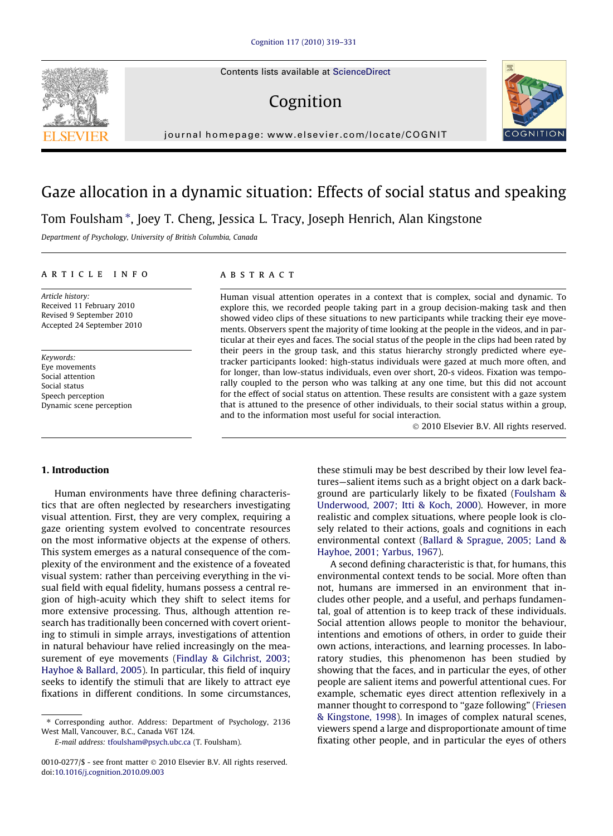Contents lists available at [ScienceDirect](http://www.sciencedirect.com/science/journal/00100277)

## Cognition



journal homepage: [www.elsevier.com/locate/COGNIT](http://www.elsevier.com/locate/COGNIT)

# Gaze allocation in a dynamic situation: Effects of social status and speaking Tom Foulsham  $^\ast$ , Joey T. Cheng, Jessica L. Tracy, Joseph Henrich, Alan Kingstone

Department of Psychology, University of British Columbia, Canada

## article info

Article history: Received 11 February 2010 Revised 9 September 2010 Accepted 24 September 2010

Keywords: Eye movements Social attention Social status Speech perception Dynamic scene perception

## **ARSTRACT**

Human visual attention operates in a context that is complex, social and dynamic. To explore this, we recorded people taking part in a group decision-making task and then showed video clips of these situations to new participants while tracking their eye movements. Observers spent the majority of time looking at the people in the videos, and in particular at their eyes and faces. The social status of the people in the clips had been rated by their peers in the group task, and this status hierarchy strongly predicted where eyetracker participants looked: high-status individuals were gazed at much more often, and for longer, than low-status individuals, even over short, 20-s videos. Fixation was temporally coupled to the person who was talking at any one time, but this did not account for the effect of social status on attention. These results are consistent with a gaze system that is attuned to the presence of other individuals, to their social status within a group, and to the information most useful for social interaction.

- 2010 Elsevier B.V. All rights reserved.

## 1. Introduction

Human environments have three defining characteristics that are often neglected by researchers investigating visual attention. First, they are very complex, requiring a gaze orienting system evolved to concentrate resources on the most informative objects at the expense of others. This system emerges as a natural consequence of the complexity of the environment and the existence of a foveated visual system: rather than perceiving everything in the visual field with equal fidelity, humans possess a central region of high-acuity which they shift to select items for more extensive processing. Thus, although attention research has traditionally been concerned with covert orienting to stimuli in simple arrays, investigations of attention in natural behaviour have relied increasingly on the measurement of eye movements ([Findlay & Gilchrist, 2003;](#page-11-0) [Hayhoe & Ballard, 2005](#page-11-0)). In particular, this field of inquiry seeks to identify the stimuli that are likely to attract eye fixations in different conditions. In some circumstances,

these stimuli may be best described by their low level features—salient items such as a bright object on a dark background are particularly likely to be fixated [\(Foulsham &](#page-11-0) [Underwood, 2007; Itti & Koch, 2000](#page-11-0)). However, in more realistic and complex situations, where people look is closely related to their actions, goals and cognitions in each environmental context ([Ballard & Sprague, 2005; Land &](#page-11-0) [Hayhoe, 2001; Yarbus, 1967](#page-11-0)).

A second defining characteristic is that, for humans, this environmental context tends to be social. More often than not, humans are immersed in an environment that includes other people, and a useful, and perhaps fundamental, goal of attention is to keep track of these individuals. Social attention allows people to monitor the behaviour, intentions and emotions of others, in order to guide their own actions, interactions, and learning processes. In laboratory studies, this phenomenon has been studied by showing that the faces, and in particular the eyes, of other people are salient items and powerful attentional cues. For example, schematic eyes direct attention reflexively in a manner thought to correspond to ''gaze following" [\(Friesen](#page-11-0) [& Kingstone, 1998](#page-11-0)). In images of complex natural scenes, viewers spend a large and disproportionate amount of time fixating other people, and in particular the eyes of others

<sup>⇑</sup> Corresponding author. Address: Department of Psychology, 2136 West Mall, Vancouver, B.C., Canada V6T 1Z4.

E-mail address: [tfoulsham@psych.ubc.ca](mailto:tfoulsham@psych.ubc.ca) (T. Foulsham).

<sup>0010-0277/\$ -</sup> see front matter © 2010 Elsevier B.V. All rights reserved. doi:[10.1016/j.cognition.2010.09.003](http://dx.doi.org/10.1016/j.cognition.2010.09.003)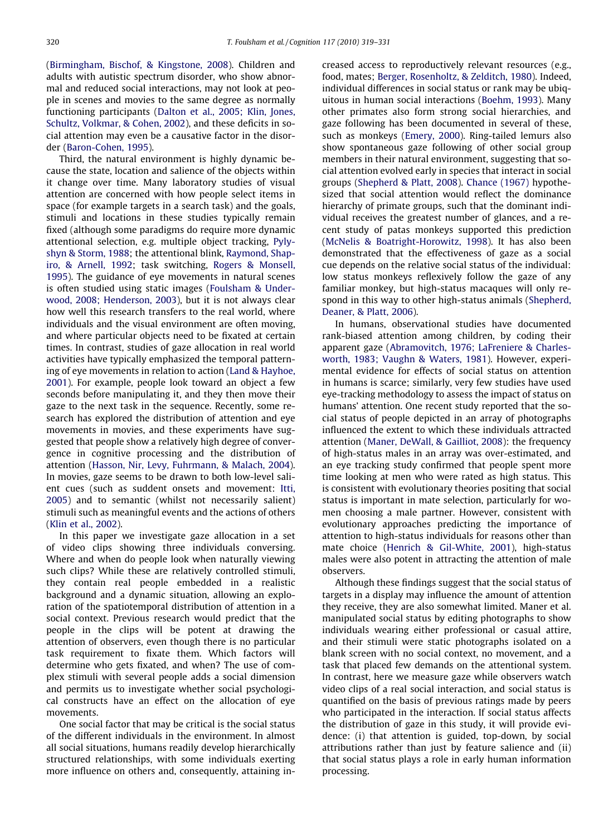[\(Birmingham, Bischof, & Kingstone, 2008\)](#page-11-0). Children and adults with autistic spectrum disorder, who show abnormal and reduced social interactions, may not look at people in scenes and movies to the same degree as normally functioning participants [\(Dalton et al., 2005; Klin, Jones,](#page-11-0) [Schultz, Volkmar, & Cohen, 2002\)](#page-11-0), and these deficits in social attention may even be a causative factor in the disorder [\(Baron-Cohen, 1995\)](#page-11-0).

Third, the natural environment is highly dynamic because the state, location and salience of the objects within it change over time. Many laboratory studies of visual attention are concerned with how people select items in space (for example targets in a search task) and the goals, stimuli and locations in these studies typically remain fixed (although some paradigms do require more dynamic attentional selection, e.g. multiple object tracking, [Pyly](#page-12-0)[shyn & Storm, 1988;](#page-12-0) the attentional blink, [Raymond, Shap](#page-12-0)[iro, & Arnell, 1992;](#page-12-0) task switching, [Rogers & Monsell,](#page-12-0) [1995](#page-12-0)). The guidance of eye movements in natural scenes is often studied using static images [\(Foulsham & Under](#page-11-0)[wood, 2008; Henderson, 2003](#page-11-0)), but it is not always clear how well this research transfers to the real world, where individuals and the visual environment are often moving, and where particular objects need to be fixated at certain times. In contrast, studies of gaze allocation in real world activities have typically emphasized the temporal patterning of eye movements in relation to action [\(Land & Hayhoe,](#page-12-0) [2001](#page-12-0)). For example, people look toward an object a few seconds before manipulating it, and they then move their gaze to the next task in the sequence. Recently, some research has explored the distribution of attention and eye movements in movies, and these experiments have suggested that people show a relatively high degree of convergence in cognitive processing and the distribution of attention ([Hasson, Nir, Levy, Fuhrmann, & Malach, 2004](#page-11-0)). In movies, gaze seems to be drawn to both low-level salient cues (such as suddent onsets and movement: [Itti,](#page-11-0) [2005](#page-11-0)) and to semantic (whilst not necessarily salient) stimuli such as meaningful events and the actions of others [\(Klin et al., 2002](#page-11-0)).

In this paper we investigate gaze allocation in a set of video clips showing three individuals conversing. Where and when do people look when naturally viewing such clips? While these are relatively controlled stimuli, they contain real people embedded in a realistic background and a dynamic situation, allowing an exploration of the spatiotemporal distribution of attention in a social context. Previous research would predict that the people in the clips will be potent at drawing the attention of observers, even though there is no particular task requirement to fixate them. Which factors will determine who gets fixated, and when? The use of complex stimuli with several people adds a social dimension and permits us to investigate whether social psychological constructs have an effect on the allocation of eye movements.

One social factor that may be critical is the social status of the different individuals in the environment. In almost all social situations, humans readily develop hierarchically structured relationships, with some individuals exerting more influence on others and, consequently, attaining in-

creased access to reproductively relevant resources (e.g., food, mates; [Berger, Rosenholtz, & Zelditch, 1980](#page-11-0)). Indeed, individual differences in social status or rank may be ubiquitous in human social interactions ([Boehm, 1993](#page-11-0)). Many other primates also form strong social hierarchies, and gaze following has been documented in several of these, such as monkeys ([Emery, 2000\)](#page-11-0). Ring-tailed lemurs also show spontaneous gaze following of other social group members in their natural environment, suggesting that social attention evolved early in species that interact in social groups [\(Shepherd & Platt, 2008\)](#page-12-0). [Chance \(1967\)](#page-11-0) hypothesized that social attention would reflect the dominance hierarchy of primate groups, such that the dominant individual receives the greatest number of glances, and a recent study of patas monkeys supported this prediction [\(McNelis & Boatright-Horowitz, 1998](#page-12-0)). It has also been demonstrated that the effectiveness of gaze as a social cue depends on the relative social status of the individual: low status monkeys reflexively follow the gaze of any familiar monkey, but high-status macaques will only respond in this way to other high-status animals ([Shepherd,](#page-12-0) [Deaner, & Platt, 2006\)](#page-12-0).

In humans, observational studies have documented rank-biased attention among children, by coding their apparent gaze [\(Abramovitch, 1976; LaFreniere & Charles](#page-11-0)[worth, 1983; Vaughn & Waters, 1981\)](#page-11-0). However, experimental evidence for effects of social status on attention in humans is scarce; similarly, very few studies have used eye-tracking methodology to assess the impact of status on humans' attention. One recent study reported that the social status of people depicted in an array of photographs influenced the extent to which these individuals attracted attention [\(Maner, DeWall, & Gailliot, 2008\)](#page-12-0): the frequency of high-status males in an array was over-estimated, and an eye tracking study confirmed that people spent more time looking at men who were rated as high status. This is consistent with evolutionary theories positing that social status is important in mate selection, particularly for women choosing a male partner. However, consistent with evolutionary approaches predicting the importance of attention to high-status individuals for reasons other than mate choice ([Henrich & Gil-White, 2001](#page-11-0)), high-status males were also potent in attracting the attention of male observers.

Although these findings suggest that the social status of targets in a display may influence the amount of attention they receive, they are also somewhat limited. Maner et al. manipulated social status by editing photographs to show individuals wearing either professional or casual attire, and their stimuli were static photographs isolated on a blank screen with no social context, no movement, and a task that placed few demands on the attentional system. In contrast, here we measure gaze while observers watch video clips of a real social interaction, and social status is quantified on the basis of previous ratings made by peers who participated in the interaction. If social status affects the distribution of gaze in this study, it will provide evidence: (i) that attention is guided, top-down, by social attributions rather than just by feature salience and (ii) that social status plays a role in early human information processing.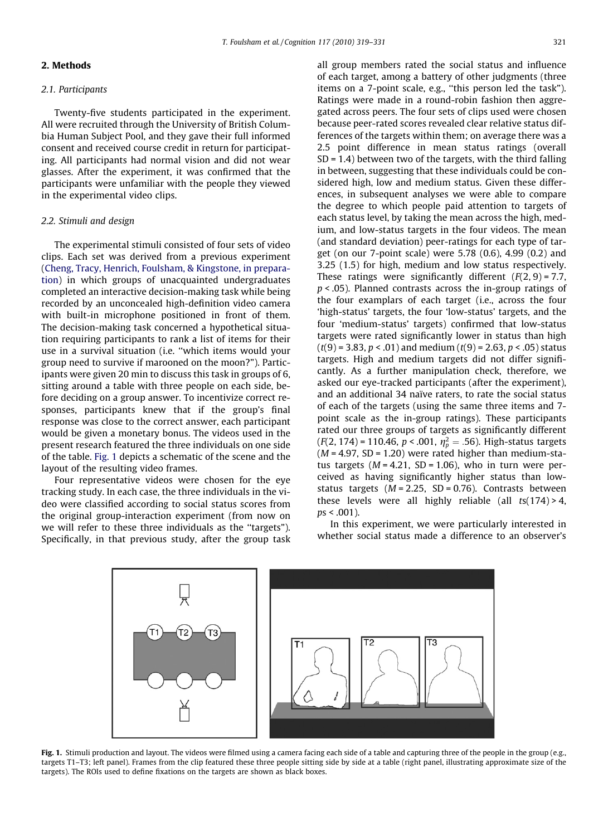### <span id="page-2-0"></span>2. Methods

## 2.1. Participants

Twenty-five students participated in the experiment. All were recruited through the University of British Columbia Human Subject Pool, and they gave their full informed consent and received course credit in return for participating. All participants had normal vision and did not wear glasses. After the experiment, it was confirmed that the participants were unfamiliar with the people they viewed in the experimental video clips.

#### 2.2. Stimuli and design

The experimental stimuli consisted of four sets of video clips. Each set was derived from a previous experiment ([Cheng, Tracy, Henrich, Foulsham, & Kingstone, in prepara](#page-11-0)[tion\)](#page-11-0) in which groups of unacquainted undergraduates completed an interactive decision-making task while being recorded by an unconcealed high-definition video camera with built-in microphone positioned in front of them. The decision-making task concerned a hypothetical situation requiring participants to rank a list of items for their use in a survival situation (i.e. ''which items would your group need to survive if marooned on the moon?"). Participants were given 20 min to discuss this task in groups of 6, sitting around a table with three people on each side, before deciding on a group answer. To incentivize correct responses, participants knew that if the group's final response was close to the correct answer, each participant would be given a monetary bonus. The videos used in the present research featured the three individuals on one side of the table. Fig. 1 depicts a schematic of the scene and the layout of the resulting video frames.

Four representative videos were chosen for the eye tracking study. In each case, the three individuals in the video were classified according to social status scores from the original group-interaction experiment (from now on we will refer to these three individuals as the ''targets"). Specifically, in that previous study, after the group task all group members rated the social status and influence of each target, among a battery of other judgments (three items on a 7-point scale, e.g., ''this person led the task"). Ratings were made in a round-robin fashion then aggregated across peers. The four sets of clips used were chosen because peer-rated scores revealed clear relative status differences of the targets within them; on average there was a 2.5 point difference in mean status ratings (overall  $SD = 1.4$ ) between two of the targets, with the third falling in between, suggesting that these individuals could be considered high, low and medium status. Given these differences, in subsequent analyses we were able to compare the degree to which people paid attention to targets of each status level, by taking the mean across the high, medium, and low-status targets in the four videos. The mean (and standard deviation) peer-ratings for each type of target (on our 7-point scale) were 5.78 (0.6), 4.99 (0.2) and 3.25 (1.5) for high, medium and low status respectively. These ratings were significantly different  $(F(2, 9) = 7.7$ ,  $p < .05$ ). Planned contrasts across the in-group ratings of the four examplars of each target (i.e., across the four 'high-status' targets, the four 'low-status' targets, and the four 'medium-status' targets) confirmed that low-status targets were rated significantly lower in status than high  $(t(9) = 3.83, p < .01)$  and medium  $(t(9) = 2.63, p < .05)$  status targets. High and medium targets did not differ significantly. As a further manipulation check, therefore, we asked our eye-tracked participants (after the experiment), and an additional 34 naïve raters, to rate the social status of each of the targets (using the same three items and 7 point scale as the in-group ratings). These participants rated our three groups of targets as significantly different (F(2, 174) = 110.46, p < .001,  $\eta_p^2 =$  .56). High-status targets  $(M = 4.97, SD = 1.20)$  were rated higher than medium-status targets ( $M = 4.21$ , SD = 1.06), who in turn were perceived as having significantly higher status than low-

status targets  $(M = 2.25, SD = 0.76)$ . Contrasts between these levels were all highly reliable (all  $ts(174) > 4$ ,  $ps < .001$ ).

In this experiment, we were particularly interested in whether social status made a difference to an observer's



Fig. 1. Stimuli production and layout. The videos were filmed using a camera facing each side of a table and capturing three of the people in the group (e.g., targets T1–T3; left panel). Frames from the clip featured these three people sitting side by side at a table (right panel, illustrating approximate size of the targets). The ROIs used to define fixations on the targets are shown as black boxes.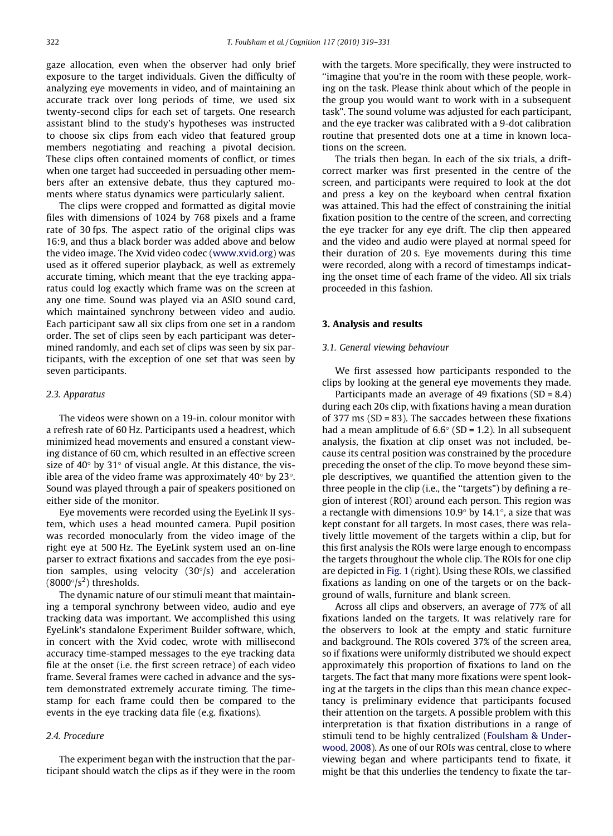gaze allocation, even when the observer had only brief exposure to the target individuals. Given the difficulty of analyzing eye movements in video, and of maintaining an accurate track over long periods of time, we used six twenty-second clips for each set of targets. One research assistant blind to the study's hypotheses was instructed to choose six clips from each video that featured group members negotiating and reaching a pivotal decision. These clips often contained moments of conflict, or times when one target had succeeded in persuading other members after an extensive debate, thus they captured moments where status dynamics were particularly salient.

The clips were cropped and formatted as digital movie files with dimensions of 1024 by 768 pixels and a frame rate of 30 fps. The aspect ratio of the original clips was 16:9, and thus a black border was added above and below the video image. The Xvid video codec [\(www.xvid.org](http://www.xvid.org)) was used as it offered superior playback, as well as extremely accurate timing, which meant that the eye tracking apparatus could log exactly which frame was on the screen at any one time. Sound was played via an ASIO sound card, which maintained synchrony between video and audio. Each participant saw all six clips from one set in a random order. The set of clips seen by each participant was determined randomly, and each set of clips was seen by six participants, with the exception of one set that was seen by seven participants.

#### 2.3. Apparatus

The videos were shown on a 19-in. colour monitor with a refresh rate of 60 Hz. Participants used a headrest, which minimized head movements and ensured a constant viewing distance of 60 cm, which resulted in an effective screen size of 40 $\degree$  by 31 $\degree$  of visual angle. At this distance, the visible area of the video frame was approximately  $40^{\circ}$  by  $23^{\circ}$ . Sound was played through a pair of speakers positioned on either side of the monitor.

Eye movements were recorded using the EyeLink II system, which uses a head mounted camera. Pupil position was recorded monocularly from the video image of the right eye at 500 Hz. The EyeLink system used an on-line parser to extract fixations and saccades from the eye position samples, using velocity  $(30<sup>o</sup>/s)$  and acceleration  $(8000°/s^2)$  thresholds.

The dynamic nature of our stimuli meant that maintaining a temporal synchrony between video, audio and eye tracking data was important. We accomplished this using EyeLink's standalone Experiment Builder software, which, in concert with the Xvid codec, wrote with millisecond accuracy time-stamped messages to the eye tracking data file at the onset (i.e. the first screen retrace) of each video frame. Several frames were cached in advance and the system demonstrated extremely accurate timing. The timestamp for each frame could then be compared to the events in the eye tracking data file (e.g. fixations).

## 2.4. Procedure

The experiment began with the instruction that the participant should watch the clips as if they were in the room with the targets. More specifically, they were instructed to ''imagine that you're in the room with these people, working on the task. Please think about which of the people in the group you would want to work with in a subsequent task". The sound volume was adjusted for each participant, and the eye tracker was calibrated with a 9-dot calibration routine that presented dots one at a time in known locations on the screen.

The trials then began. In each of the six trials, a driftcorrect marker was first presented in the centre of the screen, and participants were required to look at the dot and press a key on the keyboard when central fixation was attained. This had the effect of constraining the initial fixation position to the centre of the screen, and correcting the eye tracker for any eye drift. The clip then appeared and the video and audio were played at normal speed for their duration of 20 s. Eye movements during this time were recorded, along with a record of timestamps indicating the onset time of each frame of the video. All six trials proceeded in this fashion.

## 3. Analysis and results

## 3.1. General viewing behaviour

We first assessed how participants responded to the clips by looking at the general eye movements they made.

Participants made an average of 49 fixations (SD = 8.4) during each 20s clip, with fixations having a mean duration of 377 ms (SD = 83). The saccades between these fixations had a mean amplitude of  $6.6^{\circ}$  (SD = 1.2). In all subsequent analysis, the fixation at clip onset was not included, because its central position was constrained by the procedure preceding the onset of the clip. To move beyond these simple descriptives, we quantified the attention given to the three people in the clip (i.e., the ''targets") by defining a region of interest (ROI) around each person. This region was a rectangle with dimensions 10.9 $\degree$  by 14.1 $\degree$ , a size that was kept constant for all targets. In most cases, there was relatively little movement of the targets within a clip, but for this first analysis the ROIs were large enough to encompass the targets throughout the whole clip. The ROIs for one clip are depicted in [Fig. 1](#page-2-0) (right). Using these ROIs, we classified fixations as landing on one of the targets or on the background of walls, furniture and blank screen.

Across all clips and observers, an average of 77% of all fixations landed on the targets. It was relatively rare for the observers to look at the empty and static furniture and background. The ROIs covered 37% of the screen area, so if fixations were uniformly distributed we should expect approximately this proportion of fixations to land on the targets. The fact that many more fixations were spent looking at the targets in the clips than this mean chance expectancy is preliminary evidence that participants focused their attention on the targets. A possible problem with this interpretation is that fixation distributions in a range of stimuli tend to be highly centralized ([Foulsham & Under](#page-11-0)[wood, 2008\)](#page-11-0). As one of our ROIs was central, close to where viewing began and where participants tend to fixate, it might be that this underlies the tendency to fixate the tar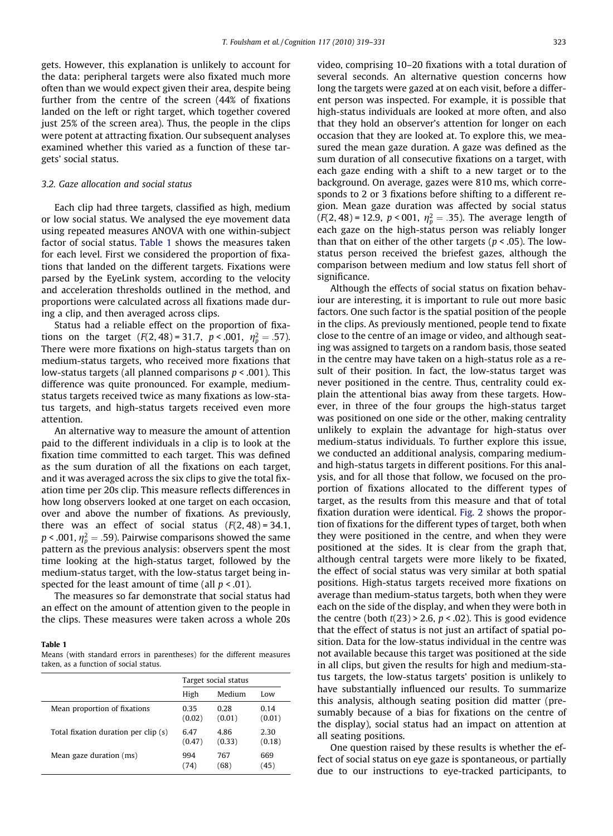gets. However, this explanation is unlikely to account for the data: peripheral targets were also fixated much more often than we would expect given their area, despite being further from the centre of the screen (44% of fixations landed on the left or right target, which together covered just 25% of the screen area). Thus, the people in the clips were potent at attracting fixation. Our subsequent analyses examined whether this varied as a function of these targets' social status.

### 3.2. Gaze allocation and social status

Each clip had three targets, classified as high, medium or low social status. We analysed the eye movement data using repeated measures ANOVA with one within-subject factor of social status. Table 1 shows the measures taken for each level. First we considered the proportion of fixations that landed on the different targets. Fixations were parsed by the EyeLink system, according to the velocity and acceleration thresholds outlined in the method, and proportions were calculated across all fixations made during a clip, and then averaged across clips.

Status had a reliable effect on the proportion of fixations on the target  $(F(2, 48) = 31.7, p < .001, \eta_p^2 = .57)$ . There were more fixations on high-status targets than on medium-status targets, who received more fixations that low-status targets (all planned comparisons  $p < .001$ ). This difference was quite pronounced. For example, mediumstatus targets received twice as many fixations as low-status targets, and high-status targets received even more attention.

An alternative way to measure the amount of attention paid to the different individuals in a clip is to look at the fixation time committed to each target. This was defined as the sum duration of all the fixations on each target, and it was averaged across the six clips to give the total fixation time per 20s clip. This measure reflects differences in how long observers looked at one target on each occasion, over and above the number of fixations. As previously, there was an effect of social status  $(F(2, 48) = 34.1,$  $p$  < .001,  $\eta_p^2 =$  .59). Pairwise comparisons showed the same pattern as the previous analysis: observers spent the most time looking at the high-status target, followed by the medium-status target, with the low-status target being inspected for the least amount of time (all  $p < .01$ ).

The measures so far demonstrate that social status had an effect on the amount of attention given to the people in the clips. These measures were taken across a whole 20s

#### Table 1

Means (with standard errors in parentheses) for the different measures taken, as a function of social status.

|                                      | Target social status |        |        |
|--------------------------------------|----------------------|--------|--------|
|                                      | High                 | Medium | Low    |
| Mean proportion of fixations         | 0.35                 | 0.28   | 0.14   |
|                                      | (0.02)               | (0.01) | (0.01) |
| Total fixation duration per clip (s) | 6.47                 | 4.86   | 2.30   |
|                                      | (0.47)               | (0.33) | (0.18) |
| Mean gaze duration (ms)              | 994                  | 767    | 669    |
|                                      | (74)                 | (68)   | (45)   |

video, comprising 10–20 fixations with a total duration of several seconds. An alternative question concerns how long the targets were gazed at on each visit, before a different person was inspected. For example, it is possible that high-status individuals are looked at more often, and also that they hold an observer's attention for longer on each occasion that they are looked at. To explore this, we measured the mean gaze duration. A gaze was defined as the sum duration of all consecutive fixations on a target, with each gaze ending with a shift to a new target or to the background. On average, gazes were 810 ms, which corresponds to 2 or 3 fixations before shifting to a different region. Mean gaze duration was affected by social status  $(F(2, 48) = 12.9, p < 001, \eta_p^2 = .35)$ . The average length of each gaze on the high-status person was reliably longer than that on either of the other targets ( $p < .05$ ). The lowstatus person received the briefest gazes, although the comparison between medium and low status fell short of significance.

Although the effects of social status on fixation behaviour are interesting, it is important to rule out more basic factors. One such factor is the spatial position of the people in the clips. As previously mentioned, people tend to fixate close to the centre of an image or video, and although seating was assigned to targets on a random basis, those seated in the centre may have taken on a high-status role as a result of their position. In fact, the low-status target was never positioned in the centre. Thus, centrality could explain the attentional bias away from these targets. However, in three of the four groups the high-status target was positioned on one side or the other, making centrality unlikely to explain the advantage for high-status over medium-status individuals. To further explore this issue, we conducted an additional analysis, comparing mediumand high-status targets in different positions. For this analysis, and for all those that follow, we focused on the proportion of fixations allocated to the different types of target, as the results from this measure and that of total fixation duration were identical. [Fig. 2](#page-5-0) shows the proportion of fixations for the different types of target, both when they were positioned in the centre, and when they were positioned at the sides. It is clear from the graph that, although central targets were more likely to be fixated, the effect of social status was very similar at both spatial positions. High-status targets received more fixations on average than medium-status targets, both when they were each on the side of the display, and when they were both in the centre (both  $t(23)$  > 2.6,  $p < .02$ ). This is good evidence that the effect of status is not just an artifact of spatial position. Data for the low-status individual in the centre was not available because this target was positioned at the side in all clips, but given the results for high and medium-status targets, the low-status targets' position is unlikely to have substantially influenced our results. To summarize this analysis, although seating position did matter (presumably because of a bias for fixations on the centre of the display), social status had an impact on attention at all seating positions.

One question raised by these results is whether the effect of social status on eye gaze is spontaneous, or partially due to our instructions to eye-tracked participants, to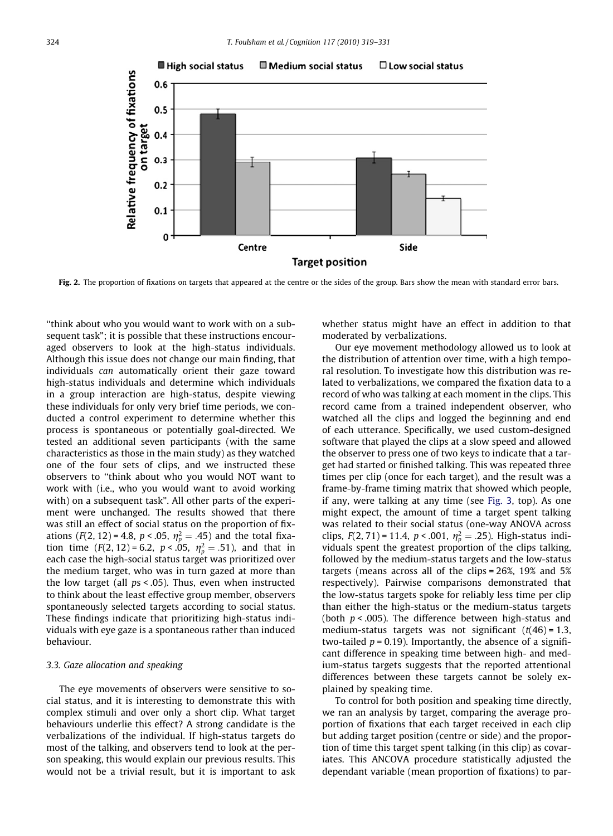<span id="page-5-0"></span>

Fig. 2. The proportion of fixations on targets that appeared at the centre or the sides of the group. Bars show the mean with standard error bars.

''think about who you would want to work with on a subsequent task"; it is possible that these instructions encouraged observers to look at the high-status individuals. Although this issue does not change our main finding, that individuals can automatically orient their gaze toward high-status individuals and determine which individuals in a group interaction are high-status, despite viewing these individuals for only very brief time periods, we conducted a control experiment to determine whether this process is spontaneous or potentially goal-directed. We tested an additional seven participants (with the same characteristics as those in the main study) as they watched one of the four sets of clips, and we instructed these observers to ''think about who you would NOT want to work with (i.e., who you would want to avoid working with) on a subsequent task". All other parts of the experiment were unchanged. The results showed that there was still an effect of social status on the proportion of fixations ( $F(2, 12) = 4.8$ ,  $p < .05$ ,  $\eta_p^2 = .45$ ) and the total fixation time  $(F(2, 12) = 6.2, p < .05, \eta_p^2 = .51)$ , and that in each case the high-social status target was prioritized over the medium target, who was in turn gazed at more than the low target (all  $ps < .05$ ). Thus, even when instructed to think about the least effective group member, observers spontaneously selected targets according to social status. These findings indicate that prioritizing high-status individuals with eye gaze is a spontaneous rather than induced behaviour.

#### 3.3. Gaze allocation and speaking

The eye movements of observers were sensitive to social status, and it is interesting to demonstrate this with complex stimuli and over only a short clip. What target behaviours underlie this effect? A strong candidate is the verbalizations of the individual. If high-status targets do most of the talking, and observers tend to look at the person speaking, this would explain our previous results. This would not be a trivial result, but it is important to ask whether status might have an effect in addition to that moderated by verbalizations.

Our eye movement methodology allowed us to look at the distribution of attention over time, with a high temporal resolution. To investigate how this distribution was related to verbalizations, we compared the fixation data to a record of who was talking at each moment in the clips. This record came from a trained independent observer, who watched all the clips and logged the beginning and end of each utterance. Specifically, we used custom-designed software that played the clips at a slow speed and allowed the observer to press one of two keys to indicate that a target had started or finished talking. This was repeated three times per clip (once for each target), and the result was a frame-by-frame timing matrix that showed which people, if any, were talking at any time (see [Fig. 3,](#page-6-0) top). As one might expect, the amount of time a target spent talking was related to their social status (one-way ANOVA across clips,  $F(2, 71) = 11.4$ ,  $p < .001$ ,  $\eta_p^2 = .25$ ). High-status individuals spent the greatest proportion of the clips talking, followed by the medium-status targets and the low-status targets (means across all of the clips = 26%, 19% and 5% respectively). Pairwise comparisons demonstrated that the low-status targets spoke for reliably less time per clip than either the high-status or the medium-status targets (both  $p < .005$ ). The difference between high-status and medium-status targets was not significant  $(t(46) = 1.3$ , two-tailed  $p = 0.19$ ). Importantly, the absence of a significant difference in speaking time between high- and medium-status targets suggests that the reported attentional differences between these targets cannot be solely explained by speaking time.

To control for both position and speaking time directly, we ran an analysis by target, comparing the average proportion of fixations that each target received in each clip but adding target position (centre or side) and the proportion of time this target spent talking (in this clip) as covariates. This ANCOVA procedure statistically adjusted the dependant variable (mean proportion of fixations) to par-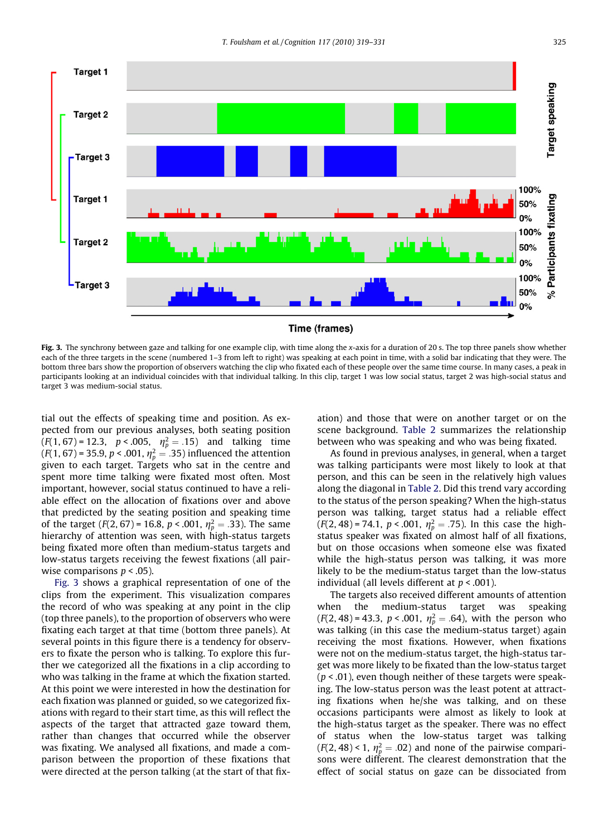<span id="page-6-0"></span>

Fig. 3. The synchrony between gaze and talking for one example clip, with time along the x-axis for a duration of 20 s. The top three panels show whether each of the three targets in the scene (numbered 1–3 from left to right) was speaking at each point in time, with a solid bar indicating that they were. The bottom three bars show the proportion of observers watching the clip who fixated each of these people over the same time course. In many cases, a peak in participants looking at an individual coincides with that individual talking. In this clip, target 1 was low social status, target 2 was high-social status and target 3 was medium-social status.

tial out the effects of speaking time and position. As expected from our previous analyses, both seating position  $(F(1, 67) = 12.3, p < .005, \eta_p^2 = .15)$  and talking time (F(1, 67) = 35.9, p < .001,  $\eta_p^2 = .35$ ) influenced the attention given to each target. Targets who sat in the centre and spent more time talking were fixated most often. Most important, however, social status continued to have a reliable effect on the allocation of fixations over and above that predicted by the seating position and speaking time of the target (F(2, 67) = 16.8, p < .001,  $\eta_p^2 = 0.33$ ). The same hierarchy of attention was seen, with high-status targets being fixated more often than medium-status targets and low-status targets receiving the fewest fixations (all pairwise comparisons  $p < .05$ ).

Fig. 3 shows a graphical representation of one of the clips from the experiment. This visualization compares the record of who was speaking at any point in the clip (top three panels), to the proportion of observers who were fixating each target at that time (bottom three panels). At several points in this figure there is a tendency for observers to fixate the person who is talking. To explore this further we categorized all the fixations in a clip according to who was talking in the frame at which the fixation started. At this point we were interested in how the destination for each fixation was planned or guided, so we categorized fixations with regard to their start time, as this will reflect the aspects of the target that attracted gaze toward them, rather than changes that occurred while the observer was fixating. We analysed all fixations, and made a comparison between the proportion of these fixations that were directed at the person talking (at the start of that fixation) and those that were on another target or on the scene background. [Table 2](#page-7-0) summarizes the relationship between who was speaking and who was being fixated.

As found in previous analyses, in general, when a target was talking participants were most likely to look at that person, and this can be seen in the relatively high values along the diagonal in [Table 2.](#page-7-0) Did this trend vary according to the status of the person speaking? When the high-status person was talking, target status had a reliable effect  $(F(2, 48) = 74.1, p < .001, \eta_p^2 = .75)$ . In this case the highstatus speaker was fixated on almost half of all fixations, but on those occasions when someone else was fixated while the high-status person was talking, it was more likely to be the medium-status target than the low-status individual (all levels different at  $p < .001$ ).

The targets also received different amounts of attention when the medium-status target was speaking  $(F(2, 48) = 43.3, p < .001, \eta_p^2 = .64)$ , with the person who was talking (in this case the medium-status target) again receiving the most fixations. However, when fixations were not on the medium-status target, the high-status target was more likely to be fixated than the low-status target  $(p < .01)$ , even though neither of these targets were speaking. The low-status person was the least potent at attracting fixations when he/she was talking, and on these occasions participants were almost as likely to look at the high-status target as the speaker. There was no effect of status when the low-status target was talking  $(F(2, 48) < 1, \eta_p^2 = .02)$  and none of the pairwise comparisons were different. The clearest demonstration that the effect of social status on gaze can be dissociated from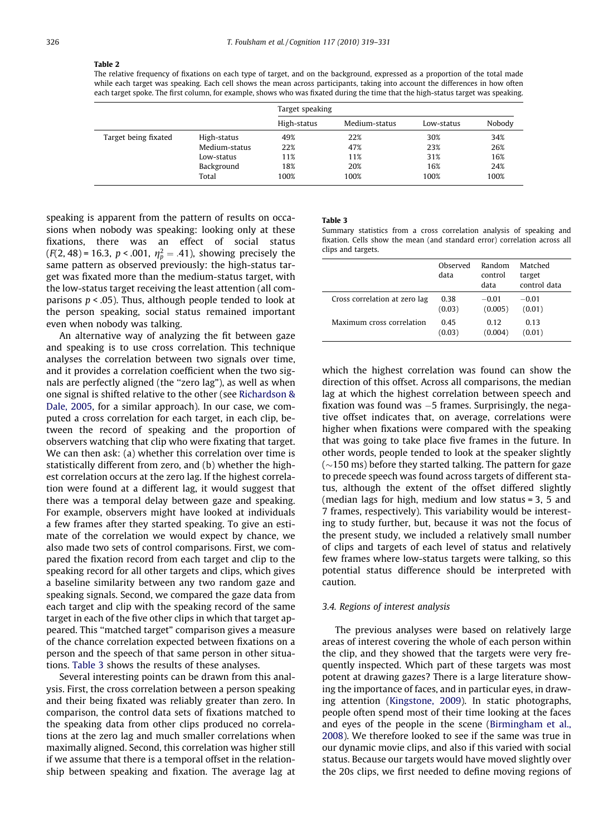#### <span id="page-7-0"></span>Table 2

The relative frequency of fixations on each type of target, and on the background, expressed as a proportion of the total made while each target was speaking. Each cell shows the mean across participants, taking into account the differences in how often each target spoke. The first column, for example, shows who was fixated during the time that the high-status target was speaking.

|                      |               | Target speaking |               |            |        |
|----------------------|---------------|-----------------|---------------|------------|--------|
|                      |               | High-status     | Medium-status | Low-status | Nobody |
| Target being fixated | High-status   | 49%             | 22%           | 30%        | 34%    |
|                      | Medium-status | 22%             | 47%           | 23%        | 26%    |
|                      | Low-status    | 11%             | 11%           | 31%        | 16%    |
|                      | Background    | 18%             | 20%           | 16%        | 24%    |
|                      | Total         | 100%            | 100%          | 100%       | 100%   |

speaking is apparent from the pattern of results on occasions when nobody was speaking: looking only at these fixations, there was an effect of social status  $(F(2, 48) = 16.3, p < .001, \eta_p^2 = .41)$ , showing precisely the same pattern as observed previously: the high-status target was fixated more than the medium-status target, with the low-status target receiving the least attention (all comparisons  $p < .05$ ). Thus, although people tended to look at the person speaking, social status remained important even when nobody was talking.

An alternative way of analyzing the fit between gaze and speaking is to use cross correlation. This technique analyses the correlation between two signals over time, and it provides a correlation coefficient when the two signals are perfectly aligned (the ''zero lag"), as well as when one signal is shifted relative to the other (see [Richardson &](#page-12-0) [Dale, 2005,](#page-12-0) for a similar approach). In our case, we computed a cross correlation for each target, in each clip, between the record of speaking and the proportion of observers watching that clip who were fixating that target. We can then ask: (a) whether this correlation over time is statistically different from zero, and (b) whether the highest correlation occurs at the zero lag. If the highest correlation were found at a different lag, it would suggest that there was a temporal delay between gaze and speaking. For example, observers might have looked at individuals a few frames after they started speaking. To give an estimate of the correlation we would expect by chance, we also made two sets of control comparisons. First, we compared the fixation record from each target and clip to the speaking record for all other targets and clips, which gives a baseline similarity between any two random gaze and speaking signals. Second, we compared the gaze data from each target and clip with the speaking record of the same target in each of the five other clips in which that target appeared. This ''matched target" comparison gives a measure of the chance correlation expected between fixations on a person and the speech of that same person in other situations. Table 3 shows the results of these analyses.

Several interesting points can be drawn from this analysis. First, the cross correlation between a person speaking and their being fixated was reliably greater than zero. In comparison, the control data sets of fixations matched to the speaking data from other clips produced no correlations at the zero lag and much smaller correlations when maximally aligned. Second, this correlation was higher still if we assume that there is a temporal offset in the relationship between speaking and fixation. The average lag at

## Table 3

Summary statistics from a cross correlation analysis of speaking and fixation. Cells show the mean (and standard error) correlation across all clips and targets.

|                               | Observed<br>data | Random<br>control<br>data | Matched<br>target<br>control data |
|-------------------------------|------------------|---------------------------|-----------------------------------|
| Cross correlation at zero lag | 0.38             | $-0.01$                   | $-0.01$                           |
|                               | (0.03)           | (0.005)                   | (0.01)                            |
| Maximum cross correlation     | 0.45             | 0.12                      | 0.13                              |
|                               | (0.03)           | (0.004)                   | (0.01)                            |

which the highest correlation was found can show the direction of this offset. Across all comparisons, the median lag at which the highest correlation between speech and fixation was found was -5 frames. Surprisingly, the negative offset indicates that, on average, correlations were higher when fixations were compared with the speaking that was going to take place five frames in the future. In other words, people tended to look at the speaker slightly  $(\sim150 \text{ ms})$  before they started talking. The pattern for gaze to precede speech was found across targets of different status, although the extent of the offset differed slightly (median lags for high, medium and low status = 3, 5 and 7 frames, respectively). This variability would be interesting to study further, but, because it was not the focus of the present study, we included a relatively small number of clips and targets of each level of status and relatively few frames where low-status targets were talking, so this potential status difference should be interpreted with caution.

#### 3.4. Regions of interest analysis

The previous analyses were based on relatively large areas of interest covering the whole of each person within the clip, and they showed that the targets were very frequently inspected. Which part of these targets was most potent at drawing gazes? There is a large literature showing the importance of faces, and in particular eyes, in drawing attention [\(Kingstone, 2009\)](#page-11-0). In static photographs, people often spend most of their time looking at the faces and eyes of the people in the scene [\(Birmingham et al.,](#page-11-0) [2008](#page-11-0)). We therefore looked to see if the same was true in our dynamic movie clips, and also if this varied with social status. Because our targets would have moved slightly over the 20s clips, we first needed to define moving regions of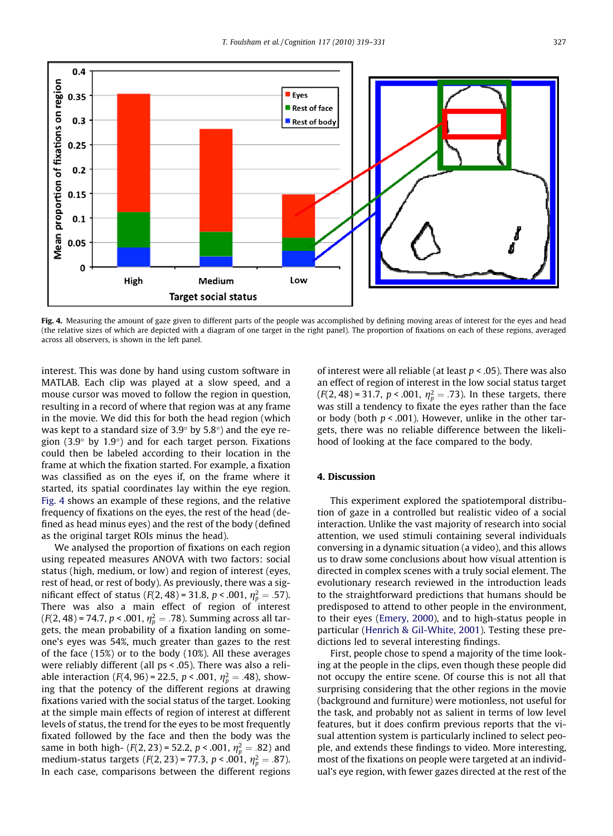

Fig. 4. Measuring the amount of gaze given to different parts of the people was accomplished by defining moving areas of interest for the eyes and head (the relative sizes of which are depicted with a diagram of one target in the right panel). The proportion of fixations on each of these regions, averaged across all observers, is shown in the left panel.

interest. This was done by hand using custom software in MATLAB. Each clip was played at a slow speed, and a mouse cursor was moved to follow the region in question, resulting in a record of where that region was at any frame in the movie. We did this for both the head region (which was kept to a standard size of  $3.9^{\circ}$  by  $5.8^{\circ}$ ) and the eye region (3.9 $\degree$  by 1.9 $\degree$ ) and for each target person. Fixations could then be labeled according to their location in the frame at which the fixation started. For example, a fixation was classified as on the eyes if, on the frame where it started, its spatial coordinates lay within the eye region. Fig. 4 shows an example of these regions, and the relative frequency of fixations on the eyes, the rest of the head (defined as head minus eyes) and the rest of the body (defined as the original target ROIs minus the head).

We analysed the proportion of fixations on each region using repeated measures ANOVA with two factors: social status (high, medium, or low) and region of interest (eyes, rest of head, or rest of body). As previously, there was a significant effect of status (F(2, 48) = 31.8, p < .001,  $\eta_p^2 = .57$ ). There was also a main effect of region of interest  $(F(2, 48)$  = 74.7, p < .001,  $\eta_p^2 = .78$ ). Summing across all targets, the mean probability of a fixation landing on someone's eyes was 54%, much greater than gazes to the rest of the face (15%) or to the body (10%). All these averages were reliably different (all ps < .05). There was also a reliable interaction (F(4, 96) = 22.5, p < .001,  $\eta_p^2 = .48$ ), showing that the potency of the different regions at drawing fixations varied with the social status of the target. Looking at the simple main effects of region of interest at different levels of status, the trend for the eyes to be most frequently fixated followed by the face and then the body was the same in both high- ( $F(2, 23)$  = 52.2,  $p < .001$ ,  $\eta_p^2 = .82$ ) and medium-status targets (F(2, 23) = 77.3, p < .001,  $\eta_p^2 = .87$ ). In each case, comparisons between the different regions

of interest were all reliable (at least  $p < .05$ ). There was also an effect of region of interest in the low social status target  $(F(2, 48) = 31.7, p < .001, \eta_p^2 = .73)$ . In these targets, there was still a tendency to fixate the eyes rather than the face or body (both  $p < .001$ ). However, unlike in the other targets, there was no reliable difference between the likelihood of looking at the face compared to the body.

## 4. Discussion

This experiment explored the spatiotemporal distribution of gaze in a controlled but realistic video of a social interaction. Unlike the vast majority of research into social attention, we used stimuli containing several individuals conversing in a dynamic situation (a video), and this allows us to draw some conclusions about how visual attention is directed in complex scenes with a truly social element. The evolutionary research reviewed in the introduction leads to the straightforward predictions that humans should be predisposed to attend to other people in the environment, to their eyes ([Emery, 2000](#page-11-0)), and to high-status people in particular ([Henrich & Gil-White, 2001\)](#page-11-0). Testing these predictions led to several interesting findings.

First, people chose to spend a majority of the time looking at the people in the clips, even though these people did not occupy the entire scene. Of course this is not all that surprising considering that the other regions in the movie (background and furniture) were motionless, not useful for the task, and probably not as salient in terms of low level features, but it does confirm previous reports that the visual attention system is particularly inclined to select people, and extends these findings to video. More interesting, most of the fixations on people were targeted at an individual's eye region, with fewer gazes directed at the rest of the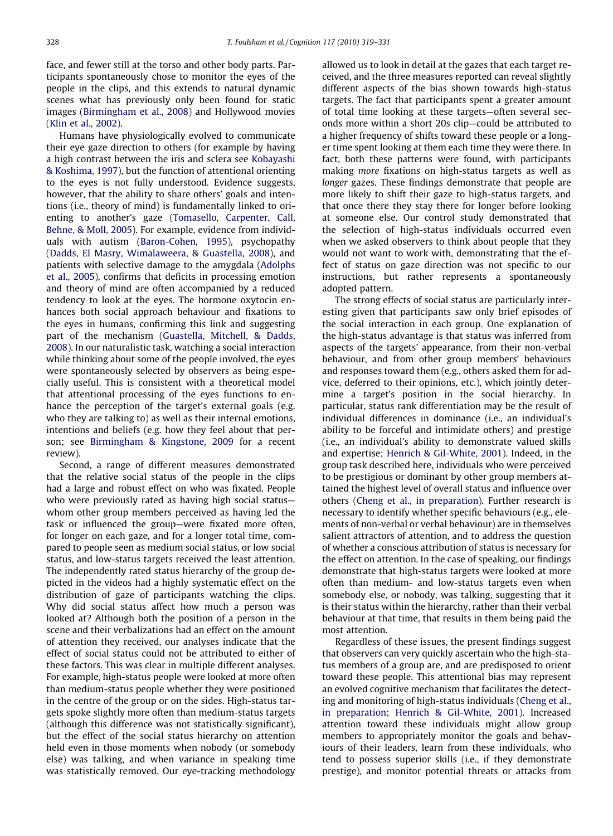face, and fewer still at the torso and other body parts. Participants spontaneously chose to monitor the eyes of the people in the clips, and this extends to natural dynamic scenes what has previously only been found for static images [\(Birmingham et al., 2008](#page-11-0)) and Hollywood movies

[\(Klin et al., 2002](#page-11-0)). Humans have physiologically evolved to communicate their eye gaze direction to others (for example by having a high contrast between the iris and sclera see [Kobayashi](#page-12-0) [& Koshima, 1997\)](#page-12-0), but the function of attentional orienting to the eyes is not fully understood. Evidence suggests, however, that the ability to share others' goals and intentions (i.e., theory of mind) is fundamentally linked to orienting to another's gaze ([Tomasello, Carpenter, Call,](#page-12-0) [Behne, & Moll, 2005](#page-12-0)). For example, evidence from individuals with autism ([Baron-Cohen, 1995](#page-11-0)), psychopathy [\(Dadds, El Masry, Wimalaweera, & Guastella, 2008\)](#page-11-0), and patients with selective damage to the amygdala ([Adolphs](#page-11-0) [et al., 2005](#page-11-0)), confirms that deficits in processing emotion and theory of mind are often accompanied by a reduced tendency to look at the eyes. The hormone oxytocin enhances both social approach behaviour and fixations to the eyes in humans, confirming this link and suggesting part of the mechanism ([Guastella, Mitchell, & Dadds,](#page-11-0) [2008](#page-11-0)). In our naturalistic task, watching a social interaction while thinking about some of the people involved, the eyes were spontaneously selected by observers as being especially useful. This is consistent with a theoretical model that attentional processing of the eyes functions to enhance the perception of the target's external goals (e.g. who they are talking to) as well as their internal emotions, intentions and beliefs (e.g. how they feel about that person; see [Birmingham & Kingstone, 2009](#page-11-0) for a recent review).

Second, a range of different measures demonstrated that the relative social status of the people in the clips had a large and robust effect on who was fixated. People who were previously rated as having high social status whom other group members perceived as having led the task or influenced the group—were fixated more often, for longer on each gaze, and for a longer total time, compared to people seen as medium social status, or low social status, and low-status targets received the least attention. The independently rated status hierarchy of the group depicted in the videos had a highly systematic effect on the distribution of gaze of participants watching the clips. Why did social status affect how much a person was looked at? Although both the position of a person in the scene and their verbalizations had an effect on the amount of attention they received, our analyses indicate that the effect of social status could not be attributed to either of these factors. This was clear in multiple different analyses. For example, high-status people were looked at more often than medium-status people whether they were positioned in the centre of the group or on the sides. High-status targets spoke slightly more often than medium-status targets (although this difference was not statistically significant), but the effect of the social status hierarchy on attention held even in those moments when nobody (or somebody else) was talking, and when variance in speaking time was statistically removed. Our eye-tracking methodology

allowed us to look in detail at the gazes that each target received, and the three measures reported can reveal slightly different aspects of the bias shown towards high-status targets. The fact that participants spent a greater amount of total time looking at these targets—often several seconds more within a short 20s clip—could be attributed to a higher frequency of shifts toward these people or a longer time spent looking at them each time they were there. In fact, both these patterns were found, with participants making more fixations on high-status targets as well as longer gazes. These findings demonstrate that people are more likely to shift their gaze to high-status targets, and that once there they stay there for longer before looking at someone else. Our control study demonstrated that the selection of high-status individuals occurred even when we asked observers to think about people that they would not want to work with, demonstrating that the effect of status on gaze direction was not specific to our instructions, but rather represents a spontaneously adopted pattern.

The strong effects of social status are particularly interesting given that participants saw only brief episodes of the social interaction in each group. One explanation of the high-status advantage is that status was inferred from aspects of the targets' appearance, from their non-verbal behaviour, and from other group members' behaviours and responses toward them (e.g., others asked them for advice, deferred to their opinions, etc.), which jointly determine a target's position in the social hierarchy. In particular, status rank differentiation may be the result of individual differences in dominance (i.e., an individual's ability to be forceful and intimidate others) and prestige (i.e., an individual's ability to demonstrate valued skills and expertise; [Henrich & Gil-White, 2001](#page-11-0)). Indeed, in the group task described here, individuals who were perceived to be prestigious or dominant by other group members attained the highest level of overall status and influence over others ([Cheng et al., in preparation](#page-11-0)). Further research is necessary to identify whether specific behaviours (e.g., elements of non-verbal or verbal behaviour) are in themselves salient attractors of attention, and to address the question of whether a conscious attribution of status is necessary for the effect on attention. In the case of speaking, our findings demonstrate that high-status targets were looked at more often than medium- and low-status targets even when somebody else, or nobody, was talking, suggesting that it is their status within the hierarchy, rather than their verbal behaviour at that time, that results in them being paid the most attention.

Regardless of these issues, the present findings suggest that observers can very quickly ascertain who the high-status members of a group are, and are predisposed to orient toward these people. This attentional bias may represent an evolved cognitive mechanism that facilitates the detecting and monitoring of high-status individuals ([Cheng et al.,](#page-11-0) [in preparation; Henrich & Gil-White, 2001](#page-11-0)). Increased attention toward these individuals might allow group members to appropriately monitor the goals and behaviours of their leaders, learn from these individuals, who tend to possess superior skills (i.e., if they demonstrate prestige), and monitor potential threats or attacks from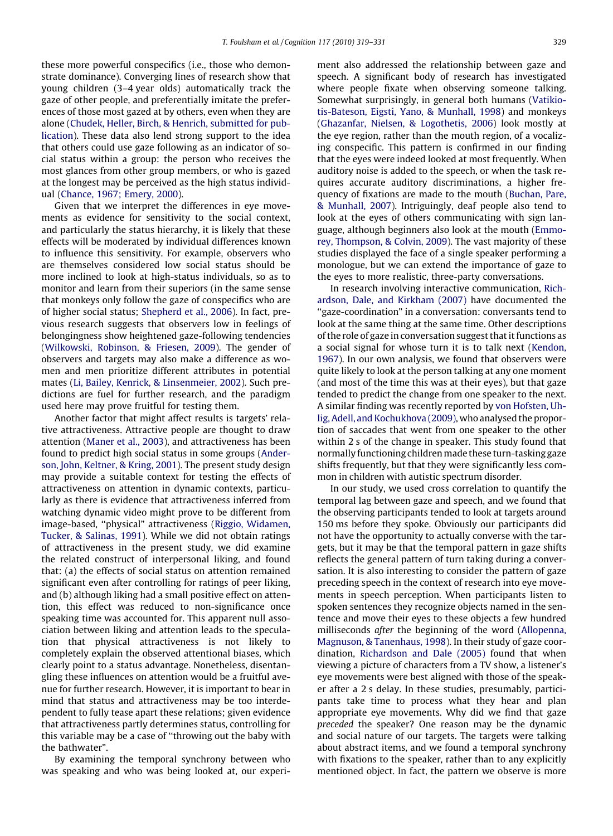these more powerful conspecifics (i.e., those who demonstrate dominance). Converging lines of research show that young children (3–4 year olds) automatically track the gaze of other people, and preferentially imitate the preferences of those most gazed at by others, even when they are alone [\(Chudek, Heller, Birch, & Henrich, submitted for pub](#page-11-0)[lication](#page-11-0)). These data also lend strong support to the idea that others could use gaze following as an indicator of social status within a group: the person who receives the most glances from other group members, or who is gazed at the longest may be perceived as the high status individual [\(Chance, 1967; Emery, 2000](#page-11-0)).

Given that we interpret the differences in eye movements as evidence for sensitivity to the social context, and particularly the status hierarchy, it is likely that these effects will be moderated by individual differences known to influence this sensitivity. For example, observers who are themselves considered low social status should be more inclined to look at high-status individuals, so as to monitor and learn from their superiors (in the same sense that monkeys only follow the gaze of conspecifics who are of higher social status; [Shepherd et al., 2006](#page-12-0)). In fact, previous research suggests that observers low in feelings of belongingness show heightened gaze-following tendencies ([Wilkowski, Robinson, & Friesen, 2009\)](#page-12-0). The gender of observers and targets may also make a difference as women and men prioritize different attributes in potential mates [\(Li, Bailey, Kenrick, & Linsenmeier, 2002](#page-12-0)). Such predictions are fuel for further research, and the paradigm used here may prove fruitful for testing them.

Another factor that might affect results is targets' relative attractiveness. Attractive people are thought to draw attention ([Maner et al., 2003\)](#page-12-0), and attractiveness has been found to predict high social status in some groups ([Ander](#page-11-0)[son, John, Keltner, & Kring, 2001](#page-11-0)). The present study design may provide a suitable context for testing the effects of attractiveness on attention in dynamic contexts, particularly as there is evidence that attractiveness inferred from watching dynamic video might prove to be different from image-based, ''physical" attractiveness ([Riggio, Widamen,](#page-12-0) [Tucker, & Salinas, 1991](#page-12-0)). While we did not obtain ratings of attractiveness in the present study, we did examine the related construct of interpersonal liking, and found that: (a) the effects of social status on attention remained significant even after controlling for ratings of peer liking, and (b) although liking had a small positive effect on attention, this effect was reduced to non-significance once speaking time was accounted for. This apparent null association between liking and attention leads to the speculation that physical attractiveness is not likely to completely explain the observed attentional biases, which clearly point to a status advantage. Nonetheless, disentangling these influences on attention would be a fruitful avenue for further research. However, it is important to bear in mind that status and attractiveness may be too interdependent to fully tease apart these relations; given evidence that attractiveness partly determines status, controlling for this variable may be a case of ''throwing out the baby with the bathwater".

By examining the temporal synchrony between who was speaking and who was being looked at, our experiment also addressed the relationship between gaze and speech. A significant body of research has investigated where people fixate when observing someone talking. Somewhat surprisingly, in general both humans ([Vatikio](#page-12-0)[tis-Bateson, Eigsti, Yano, & Munhall, 1998](#page-12-0)) and monkeys [\(Ghazanfar, Nielsen, & Logothetis, 2006](#page-11-0)) look mostly at the eye region, rather than the mouth region, of a vocalizing conspecific. This pattern is confirmed in our finding that the eyes were indeed looked at most frequently. When auditory noise is added to the speech, or when the task requires accurate auditory discriminations, a higher frequency of fixations are made to the mouth [\(Buchan, Pare,](#page-11-0) [& Munhall, 2007\)](#page-11-0). Intriguingly, deaf people also tend to look at the eyes of others communicating with sign language, although beginners also look at the mouth [\(Emmo](#page-11-0)[rey, Thompson, & Colvin, 2009](#page-11-0)). The vast majority of these studies displayed the face of a single speaker performing a monologue, but we can extend the importance of gaze to the eyes to more realistic, three-party conversations.

In research involving interactive communication, [Rich](#page-12-0)[ardson, Dale, and Kirkham \(2007\)](#page-12-0) have documented the ''gaze-coordination" in a conversation: conversants tend to look at the same thing at the same time. Other descriptions of the role of gaze in conversation suggest that it functions as a social signal for whose turn it is to talk next [\(Kendon,](#page-11-0) [1967\)](#page-11-0). In our own analysis, we found that observers were quite likely to look at the person talking at any one moment (and most of the time this was at their eyes), but that gaze tended to predict the change from one speaker to the next. A similar finding was recently reported by [von Hofsten, Uh](#page-12-0)[lig, Adell, and Kochukhova \(2009\)](#page-12-0), who analysed the proportion of saccades that went from one speaker to the other within 2 s of the change in speaker. This study found that normally functioning children made these turn-tasking gaze shifts frequently, but that they were significantly less common in children with autistic spectrum disorder.

In our study, we used cross correlation to quantify the temporal lag between gaze and speech, and we found that the observing participants tended to look at targets around 150 ms before they spoke. Obviously our participants did not have the opportunity to actually converse with the targets, but it may be that the temporal pattern in gaze shifts reflects the general pattern of turn taking during a conversation. It is also interesting to consider the pattern of gaze preceding speech in the context of research into eye movements in speech perception. When participants listen to spoken sentences they recognize objects named in the sentence and move their eyes to these objects a few hundred milliseconds after the beginning of the word [\(Allopenna,](#page-11-0) [Magnuson, & Tanenhaus, 1998](#page-11-0)). In their study of gaze coordination, [Richardson and Dale \(2005\)](#page-12-0) found that when viewing a picture of characters from a TV show, a listener's eye movements were best aligned with those of the speaker after a 2 s delay. In these studies, presumably, participants take time to process what they hear and plan appropriate eye movements. Why did we find that gaze preceded the speaker? One reason may be the dynamic and social nature of our targets. The targets were talking about abstract items, and we found a temporal synchrony with fixations to the speaker, rather than to any explicitly mentioned object. In fact, the pattern we observe is more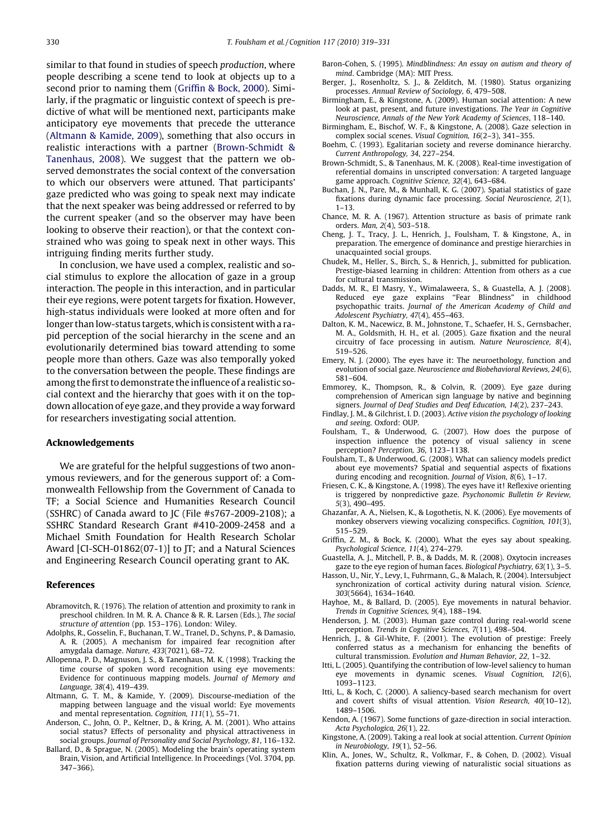<span id="page-11-0"></span>similar to that found in studies of speech production, where people describing a scene tend to look at objects up to a second prior to naming them (Griffin & Bock, 2000). Similarly, if the pragmatic or linguistic context of speech is predictive of what will be mentioned next, participants make anticipatory eye movements that precede the utterance (Altmann & Kamide, 2009), something that also occurs in realistic interactions with a partner (Brown-Schmidt & Tanenhaus, 2008). We suggest that the pattern we observed demonstrates the social context of the conversation to which our observers were attuned. That participants' gaze predicted who was going to speak next may indicate that the next speaker was being addressed or referred to by the current speaker (and so the observer may have been looking to observe their reaction), or that the context constrained who was going to speak next in other ways. This intriguing finding merits further study.

In conclusion, we have used a complex, realistic and social stimulus to explore the allocation of gaze in a group interaction. The people in this interaction, and in particular their eye regions, were potent targets for fixation. However, high-status individuals were looked at more often and for longer than low-status targets, which is consistent with a rapid perception of the social hierarchy in the scene and an evolutionarily determined bias toward attending to some people more than others. Gaze was also temporally yoked to the conversation between the people. These findings are among the first to demonstrate the influence of a realistic social context and the hierarchy that goes with it on the topdown allocation of eye gaze, and they provide a way forward for researchers investigating social attention.

### Acknowledgements

We are grateful for the helpful suggestions of two anonymous reviewers, and for the generous support of: a Commonwealth Fellowship from the Government of Canada to TF; a Social Science and Humanities Research Council (SSHRC) of Canada award to JC (File #s767-2009-2108); a SSHRC Standard Research Grant #410-2009-2458 and a Michael Smith Foundation for Health Research Scholar Award [CI-SCH-01862(07-1)] to [T; and a Natural Sciences and Engineering Research Council operating grant to AK.

#### References

- Abramovitch, R. (1976). The relation of attention and proximity to rank in preschool children. In M. R. A. Chance & R. R. Larsen (Eds.), The social structure of attention (pp. 153–176). London: Wiley.
- Adolphs, R., Gosselin, F., Buchanan, T. W., Tranel, D., Schyns, P., & Damasio, A. R. (2005). A mechanism for impaired fear recognition after amygdala damage. Nature, 433(7021), 68–72.
- Allopenna, P. D., Magnuson, J. S., & Tanenhaus, M. K. (1998). Tracking the time course of spoken word recognition using eye movements: Evidence for continuous mapping models. Journal of Memory and Language, 38(4), 419–439.
- Altmann, G. T. M., & Kamide, Y. (2009). Discourse-mediation of the mapping between language and the visual world: Eye movements and mental representation. Cognition, 111(1), 55–71.
- Anderson, C., John, O. P., Keltner, D., & Kring, A. M. (2001). Who attains social status? Effects of personality and physical attractiveness in social groups. Journal of Personality and Social Psychology, 81, 116–132.
- Ballard, D., & Sprague, N. (2005). Modeling the brain's operating system Brain, Vision, and Artificial Intelligence. In Proceedings (Vol. 3704, pp. 347–366).
- Baron-Cohen, S. (1995). Mindblindness: An essay on autism and theory of mind. Cambridge (MA): MIT Press.
- Berger, J., Rosenholtz, S. J., & Zelditch, M. (1980). Status organizing processes. Annual Review of Sociology, 6, 479–508.
- Birmingham, E., & Kingstone, A. (2009). Human social attention: A new look at past, present, and future investigations. The Year in Cognitive Neuroscience, Annals of the New York Academy of Sciences, 118–140.
- Birmingham, E., Bischof, W. F., & Kingstone, A. (2008). Gaze selection in complex social scenes. Visual Cognition, 16(2–3), 341–355.
- Boehm, C. (1993). Egalitarian society and reverse dominance hierarchy. Current Anthropology, 34, 227–254.
- Brown-Schmidt, S., & Tanenhaus, M. K. (2008). Real-time investigation of referential domains in unscripted conversation: A targeted language game approach. Cognitive Science, 32(4), 643–684.
- Buchan, J. N., Pare, M., & Munhall, K. G. (2007). Spatial statistics of gaze fixations during dynamic face processing. Social Neuroscience, 2(1), 1–13.
- Chance, M. R. A. (1967). Attention structure as basis of primate rank orders. Man, 2(4), 503–518.
- Cheng, J. T., Tracy, J. L., Henrich, J., Foulsham, T. & Kingstone, A., in preparation. The emergence of dominance and prestige hierarchies in unacquainted social groups.
- Chudek, M., Heller, S., Birch, S., & Henrich, J., submitted for publication. Prestige-biased learning in children: Attention from others as a cue for cultural transmission.
- Dadds, M. R., El Masry, Y., Wimalaweera, S., & Guastella, A. J. (2008). Reduced eye gaze explains ''Fear Blindness" in childhood psychopathic traits. Journal of the American Academy of Child and Adolescent Psychiatry, 47(4), 455–463.
- Dalton, K. M., Nacewicz, B. M., Johnstone, T., Schaefer, H. S., Gernsbacher, M. A., Goldsmith, H. H., et al. (2005). Gaze fixation and the neural circuitry of face processing in autism. Nature Neuroscience, 8(4), 519–526.
- Emery, N. J. (2000). The eyes have it: The neuroethology, function and evolution of social gaze. Neuroscience and Biobehavioral Reviews, 24(6), 581–604.
- Emmorey, K., Thompson, R., & Colvin, R. (2009). Eye gaze during comprehension of American sign language by native and beginning signers. Journal of Deaf Studies and Deaf Education, 14(2), 237–243.
- Findlay, J. M., & Gilchrist, I. D. (2003). Active vision the psychology of looking and seeing. Oxford: OUP.
- Foulsham, T., & Underwood, G. (2007). How does the purpose of inspection influence the potency of visual saliency in scene perception? Perception, 36, 1123–1138.
- Foulsham, T., & Underwood, G. (2008). What can saliency models predict about eye movements? Spatial and sequential aspects of fixations during encoding and recognition. Journal of Vision, 8(6), 1-17.
- Friesen, C. K., & Kingstone, A. (1998). The eyes have it! Reflexive orienting is triggered by nonpredictive gaze. Psychonomic Bulletin & Review, 5(3), 490–495.
- Ghazanfar, A. A., Nielsen, K., & Logothetis, N. K. (2006). Eye movements of monkey observers viewing vocalizing conspecifics. Cognition, 101(3), 515–529.
- Griffin, Z. M., & Bock, K. (2000). What the eyes say about speaking. Psychological Science, 11(4), 274–279.
- Guastella, A. J., Mitchell, P. B., & Dadds, M. R. (2008). Oxytocin increases gaze to the eye region of human faces. Biological Psychiatry, 63(1), 3–5.
- Hasson, U., Nir, Y., Levy, I., Fuhrmann, G., & Malach, R. (2004). Intersubject synchronization of cortical activity during natural vision. Science, 303(5664), 1634–1640.
- Hayhoe, M., & Ballard, D. (2005). Eye movements in natural behavior. Trends in Cognitive Sciences, 9(4), 188–194.
- Henderson, J. M. (2003). Human gaze control during real-world scene perception. Trends in Cognitive Sciences, 7(11), 498–504.
- Henrich, J., & Gil-White, F. (2001). The evolution of prestige: Freely conferred status as a mechanism for enhancing the benefits of cultural transmission. Evolution and Human Behavior, 22, 1–32.
- Itti, L. (2005). Quantifying the contribution of low-level saliency to human eye movements in dynamic scenes. Visual Cognition, 12(6), 1093–1123.
- Itti, L., & Koch, C. (2000). A saliency-based search mechanism for overt and covert shifts of visual attention. Vision Research, 40(10–12), 1489–1506.
- Kendon, A. (1967). Some functions of gaze-direction in social interaction. Acta Psychologica, 26(1), 22.
- Kingstone, A. (2009). Taking a real look at social attention. Current Opinion in Neurobiology, 19(1), 52–56.
- Klin, A., Jones, W., Schultz, R., Volkmar, F., & Cohen, D. (2002). Visual fixation patterns during viewing of naturalistic social situations as